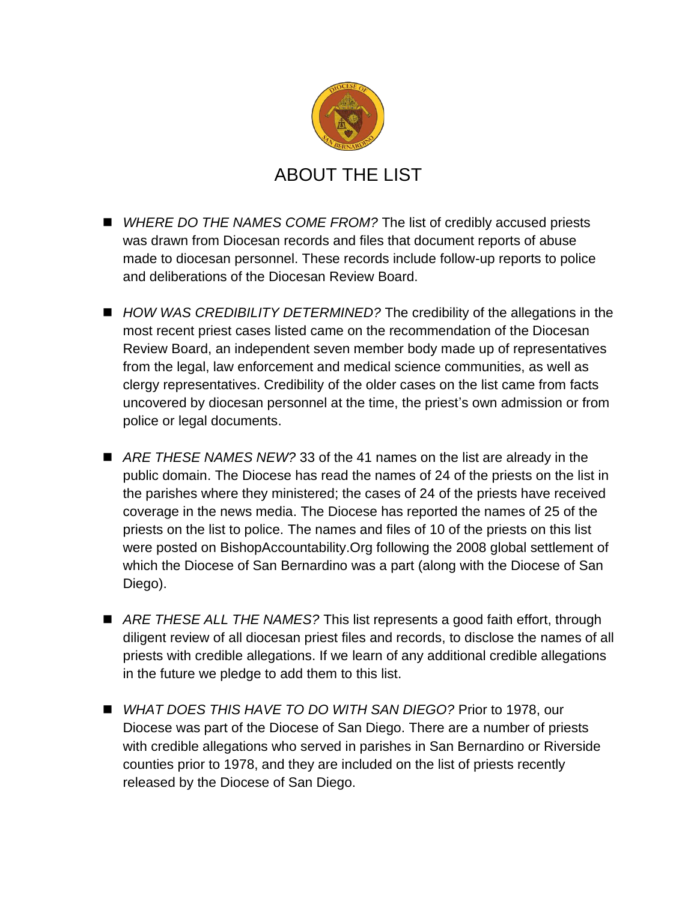

- WHERE DO THE NAMES COME FROM? The list of credibly accused priests was drawn from Diocesan records and files that document reports of abuse made to diocesan personnel. These records include follow-up reports to police and deliberations of the Diocesan Review Board.
- *HOW WAS CREDIBILITY DETERMINED?* The credibility of the allegations in the most recent priest cases listed came on the recommendation of the Diocesan Review Board, an independent seven member body made up of representatives from the legal, law enforcement and medical science communities, as well as clergy representatives. Credibility of the older cases on the list came from facts uncovered by diocesan personnel at the time, the priest's own admission or from police or legal documents.
- ARE THESE NAMES NEW? 33 of the 41 names on the list are already in the public domain. The Diocese has read the names of 24 of the priests on the list in the parishes where they ministered; the cases of 24 of the priests have received coverage in the news media. The Diocese has reported the names of 25 of the priests on the list to police. The names and files of 10 of the priests on this list were posted on BishopAccountability.Org following the 2008 global settlement of which the Diocese of San Bernardino was a part (along with the Diocese of San Diego).
- *ARE THESE ALL THE NAMES?* This list represents a good faith effort, through diligent review of all diocesan priest files and records, to disclose the names of all priests with credible allegations. If we learn of any additional credible allegations in the future we pledge to add them to this list.
- *WHAT DOES THIS HAVE TO DO WITH SAN DIEGO?* Prior to 1978, our Diocese was part of the Diocese of San Diego. There are a number of priests with credible allegations who served in parishes in San Bernardino or Riverside counties prior to 1978, and they are included on the list of priests recently released by the Diocese of San Diego.